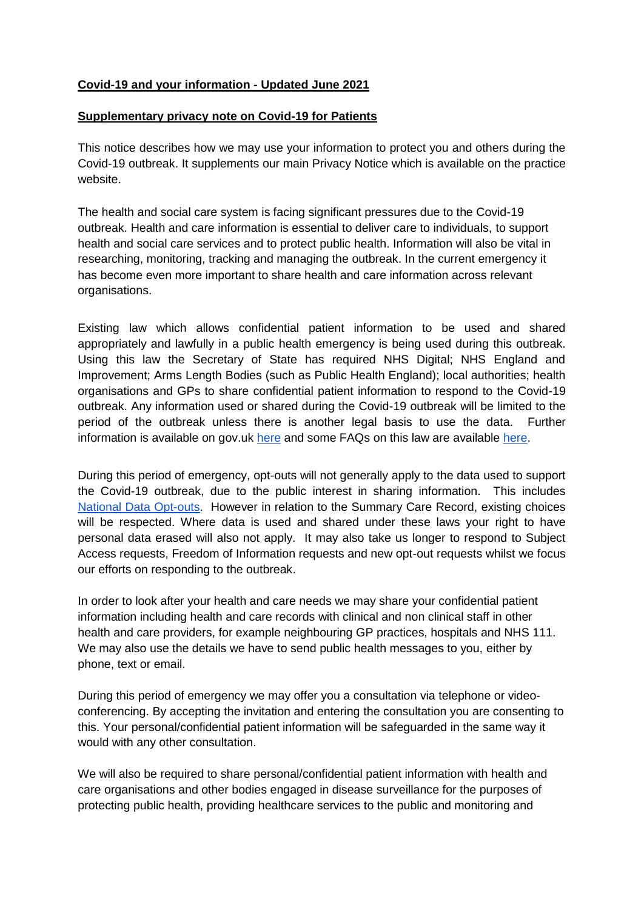## **Covid-19 and your information - Updated June 2021**

## **Supplementary privacy note on Covid-19 for Patients**

This notice describes how we may use your information to protect you and others during the Covid-19 outbreak. It supplements our main Privacy Notice which is available on the practice website.

The health and social care system is facing significant pressures due to the Covid-19 outbreak. Health and care information is essential to deliver care to individuals, to support health and social care services and to protect public health. Information will also be vital in researching, monitoring, tracking and managing the outbreak. In the current emergency it has become even more important to share health and care information across relevant organisations.

Existing law which allows confidential patient information to be used and shared appropriately and lawfully in a public health emergency is being used during this outbreak. Using this law the Secretary of State has required NHS Digital; NHS England and Improvement; Arms Length Bodies (such as Public Health England); local authorities; health organisations and GPs to share confidential patient information to respond to the Covid-19 outbreak. Any information used or shared during the Covid-19 outbreak will be limited to the period of the outbreak unless there is another legal basis to use the data. Further information is available on gov.uk [here](https://www.gov.uk/government/publications/coronavirus-covid-19-notification-of-data-controllers-to-share-information?utm_source=d05aa30e-95d2-48e3-93e0-0a696c35bd3c&utm_medium=email&utm_campaign=govuk-notifications&utm_content=immediate) and some FAQs on this law are available [here.](https://www.nhsx.nhs.uk/key-information-and-tools/information-governance-guidance/COPI-notice-FAQs)

During this period of emergency, opt-outs will not generally apply to the data used to support the Covid-19 outbreak, due to the public interest in sharing information. This include[s](https://www.nhs.uk/your-nhs-data-matters/) [National Data Opt-outs.](https://www.nhs.uk/your-nhs-data-matters/) However in relation to the Summary Care Record, existing choices will be respected. Where data is used and shared under these laws your right to have personal data erased will also not apply. It may also take us longer to respond to Subject Access requests, Freedom of Information requests and new opt-out requests whilst we focus our efforts on responding to the outbreak.

In order to look after your health and care needs we may share your confidential patient information including health and care records with clinical and non clinical staff in other health and care providers, for example neighbouring GP practices, hospitals and NHS 111. We may also use the details we have to send public health messages to you, either by phone, text or email.

During this period of emergency we may offer you a consultation via telephone or videoconferencing. By accepting the invitation and entering the consultation you are consenting to this. Your personal/confidential patient information will be safeguarded in the same way it would with any other consultation.

We will also be required to share personal/confidential patient information with health and care organisations and other bodies engaged in disease surveillance for the purposes of protecting public health, providing healthcare services to the public and monitoring and